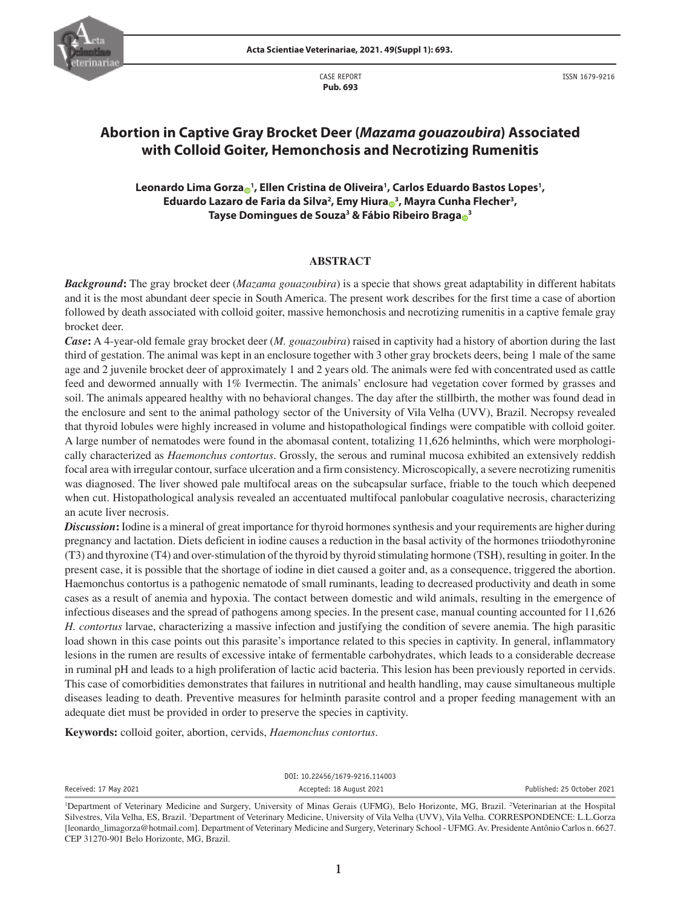CASE REPORT **Pub. 693**



ISSN 1679-9216

# **Abortion in Captive Gray Brocket Deer (***Mazama gouazoubira***) Associated with Colloid Goiter, Hemonchosis and Necrotizing Rumenitis**

## **Leonardo Lima Gorz[a](https://orcid.org/0000-0001-9641-3325) <sup>1</sup> , Ellen Cristina de Oliveira1 , Carlos Eduardo Bastos Lopes1 , Eduardo Lazaro de Faria da Silva2 , Emy Hiur[a](https://orcid.org/0000-0002-6502-3292) <sup>3</sup> , Mayra Cunha Flecher3 , Tayse Domingues de Souza3 & Fábio Ribeiro Brag[a](https://orcid.org/0000-0003-2942-5785) <sup>3</sup>**

## **ABSTRACT**

*Background***:** The gray brocket deer (*Mazama gouazoubira*) is a specie that shows great adaptability in different habitats and it is the most abundant deer specie in South America. The present work describes for the first time a case of abortion followed by death associated with colloid goiter, massive hemonchosis and necrotizing rumenitis in a captive female gray brocket deer.

*Case***:** A 4-year-old female gray brocket deer (*M. gouazoubira*) raised in captivity had a history of abortion during the last third of gestation. The animal was kept in an enclosure together with 3 other gray brockets deers, being 1 male of the same age and 2 juvenile brocket deer of approximately 1 and 2 years old. The animals were fed with concentrated used as cattle feed and dewormed annually with 1% Ivermectin. The animals' enclosure had vegetation cover formed by grasses and soil. The animals appeared healthy with no behavioral changes. The day after the stillbirth, the mother was found dead in the enclosure and sent to the animal pathology sector of the University of Vila Velha (UVV), Brazil. Necropsy revealed that thyroid lobules were highly increased in volume and histopathological findings were compatible with colloid goiter. A large number of nematodes were found in the abomasal content, totalizing 11,626 helminths, which were morphologically characterized as *Haemonchus contortus*. Grossly, the serous and ruminal mucosa exhibited an extensively reddish focal area with irregular contour, surface ulceration and a firm consistency. Microscopically, a severe necrotizing rumenitis was diagnosed. The liver showed pale multifocal areas on the subcapsular surface, friable to the touch which deepened when cut. Histopathological analysis revealed an accentuated multifocal panlobular coagulative necrosis, characterizing an acute liver necrosis.

*Discussion***:** Iodine is a mineral of great importance for thyroid hormones synthesis and your requirements are higher during pregnancy and lactation. Diets deficient in iodine causes a reduction in the basal activity of the hormones triiodothyronine (T3) and thyroxine (T4) and over-stimulation of the thyroid by thyroid stimulating hormone (TSH), resulting in goiter. In the present case, it is possible that the shortage of iodine in diet caused a goiter and, as a consequence, triggered the abortion. Haemonchus contortus is a pathogenic nematode of small ruminants, leading to decreased productivity and death in some cases as a result of anemia and hypoxia. The contact between domestic and wild animals, resulting in the emergence of infectious diseases and the spread of pathogens among species. In the present case, manual counting accounted for 11,626 *H. contortus* larvae, characterizing a massive infection and justifying the condition of severe anemia. The high parasitic load shown in this case points out this parasite's importance related to this species in captivity. In general, inflammatory lesions in the rumen are results of excessive intake of fermentable carbohydrates, which leads to a considerable decrease in ruminal pH and leads to a high proliferation of lactic acid bacteria. This lesion has been previously reported in cervids. This case of comorbidities demonstrates that failures in nutritional and health handling, may cause simultaneous multiple diseases leading to death. Preventive measures for helminth parasite control and a proper feeding management with an adequate diet must be provided in order to preserve the species in captivity.

**Keywords:** colloid goiter, abortion, cervids, *Haemonchus contortus*.

Received: 17 May 2021 **Accepted: 18 August 2021** Published: 25 October 2021

DOI: 10.22456/1679-9216.114003

<sup>&</sup>lt;sup>1</sup>Department of Veterinary Medicine and Surgery, University of Minas Gerais (UFMG), Belo Horizonte, MG, Brazil. <sup>2</sup>Veterinarian at the Hospital Silvestres, Vila Velha, ES, Brazil. 3 Department of Veterinary Medicine, University of Vila Velha (UVV), Vila Velha. CORRESPONDENCE: L.L.Gorza [leonardo\_limagorza@hotmail.com]. Department of Veterinary Medicine and Surgery, Veterinary School - UFMG. Av. Presidente Antônio Carlos n. 6627. CEP 31270-901 Belo Horizonte, MG, Brazil.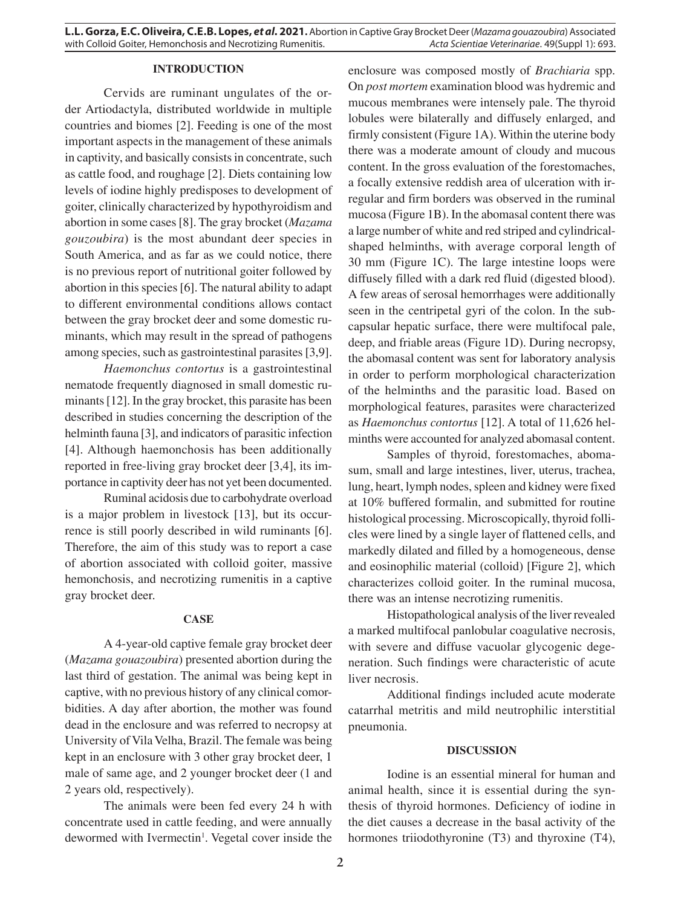## **INTRODUCTION**

Cervids are ruminant ungulates of the order Artiodactyla, distributed worldwide in multiple countries and biomes [2]. Feeding is one of the most important aspects in the management of these animals in captivity, and basically consists in concentrate, such as cattle food, and roughage [2]. Diets containing low levels of iodine highly predisposes to development of goiter, clinically characterized by hypothyroidism and abortion in some cases [8]. The gray brocket (*Mazama gouzoubira*) is the most abundant deer species in South America, and as far as we could notice, there is no previous report of nutritional goiter followed by abortion in this species [6]. The natural ability to adapt to different environmental conditions allows contact between the gray brocket deer and some domestic ruminants, which may result in the spread of pathogens among species, such as gastrointestinal parasites [3,9].

*Haemonchus contortus* is a gastrointestinal nematode frequently diagnosed in small domestic ruminants [12]. In the gray brocket, this parasite has been described in studies concerning the description of the helminth fauna [3], and indicators of parasitic infection [4]. Although haemonchosis has been additionally reported in free-living gray brocket deer [3,4], its importance in captivity deer has not yet been documented.

Ruminal acidosis due to carbohydrate overload is a major problem in livestock [13], but its occurrence is still poorly described in wild ruminants [6]. Therefore, the aim of this study was to report a case of abortion associated with colloid goiter, massive hemonchosis, and necrotizing rumenitis in a captive gray brocket deer.

#### **CASE**

A 4-year-old captive female gray brocket deer (*Mazama gouazoubira*) presented abortion during the last third of gestation. The animal was being kept in captive, with no previous history of any clinical comorbidities. A day after abortion, the mother was found dead in the enclosure and was referred to necropsy at University of Vila Velha, Brazil. The female was being kept in an enclosure with 3 other gray brocket deer, 1 male of same age, and 2 younger brocket deer (1 and 2 years old, respectively).

The animals were been fed every 24 h with concentrate used in cattle feeding, and were annually dewormed with Ivermectin<sup>1</sup>. Vegetal cover inside the enclosure was composed mostly of *Brachiaria* spp. On *post mortem* examination blood was hydremic and mucous membranes were intensely pale. The thyroid lobules were bilaterally and diffusely enlarged, and firmly consistent (Figure 1A). Within the uterine body there was a moderate amount of cloudy and mucous content. In the gross evaluation of the forestomaches, a focally extensive reddish area of ulceration with irregular and firm borders was observed in the ruminal mucosa (Figure 1B). In the abomasal content there was a large number of white and red striped and cylindricalshaped helminths, with average corporal length of 30 mm (Figure 1C). The large intestine loops were diffusely filled with a dark red fluid (digested blood). A few areas of serosal hemorrhages were additionally seen in the centripetal gyri of the colon. In the subcapsular hepatic surface, there were multifocal pale, deep, and friable areas (Figure 1D). During necropsy, the abomasal content was sent for laboratory analysis in order to perform morphological characterization of the helminths and the parasitic load. Based on morphological features, parasites were characterized as *Haemonchus contortus* [12]. A total of 11,626 helminths were accounted for analyzed abomasal content.

Samples of thyroid, forestomaches, abomasum, small and large intestines, liver, uterus, trachea, lung, heart, lymph nodes, spleen and kidney were fixed at 10% buffered formalin, and submitted for routine histological processing. Microscopically, thyroid follicles were lined by a single layer of flattened cells, and markedly dilated and filled by a homogeneous, dense and eosinophilic material (colloid) [Figure 2], which characterizes colloid goiter. In the ruminal mucosa, there was an intense necrotizing rumenitis.

Histopathological analysis of the liver revealed a marked multifocal panlobular coagulative necrosis, with severe and diffuse vacuolar glycogenic degeneration. Such findings were characteristic of acute liver necrosis.

Additional findings included acute moderate catarrhal metritis and mild neutrophilic interstitial pneumonia.

#### **DISCUSSION**

Iodine is an essential mineral for human and animal health, since it is essential during the synthesis of thyroid hormones. Deficiency of iodine in the diet causes a decrease in the basal activity of the hormones triiodothyronine (T3) and thyroxine (T4),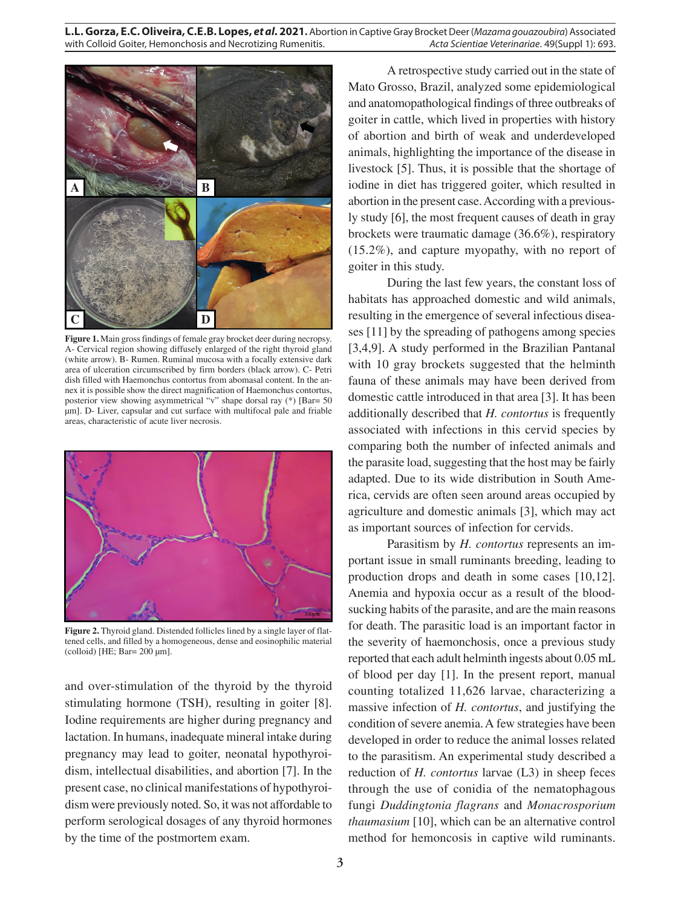**L.L. Gorza, E.C. Oliveira, C.E.B. Lopes,** *et al.* **2021.** Abortion in Captive Gray Brocket Deer (*Mazama gouazoubira*) Associated with Colloid Goiter, Hemonchosis and Necrotizing Rumenitis. **Acta Scientiae Veterinariae**. 49(Suppl 1): 693.



**Figure 1.** Main gross findings of female gray brocket deer during necropsy. A- Cervical region showing diffusely enlarged of the right thyroid gland (white arrow). B- Rumen. Ruminal mucosa with a focally extensive dark area of ulceration circumscribed by firm borders (black arrow). C- Petri dish filled with Haemonchus contortus from abomasal content. In the annex it is possible show the direct magnification of Haemonchus contortus, posterior view showing asymmetrical "v" shape dorsal ray (\*) [Bar= 50 µm]. D- Liver, capsular and cut surface with multifocal pale and friable areas, characteristic of acute liver necrosis.



**Figure 2.** Thyroid gland. Distended follicles lined by a single layer of flattened cells, and filled by a homogeneous, dense and eosinophilic material (colloid) [HE; Bar= 200 µm].

and over-stimulation of the thyroid by the thyroid stimulating hormone (TSH), resulting in goiter [8]. Iodine requirements are higher during pregnancy and lactation. In humans, inadequate mineral intake during pregnancy may lead to goiter, neonatal hypothyroidism, intellectual disabilities, and abortion [7]. In the present case, no clinical manifestations of hypothyroidism were previously noted. So, it was not affordable to perform serological dosages of any thyroid hormones by the time of the postmortem exam.

A retrospective study carried out in the state of Mato Grosso, Brazil, analyzed some epidemiological and anatomopathological findings of three outbreaks of goiter in cattle, which lived in properties with history of abortion and birth of weak and underdeveloped animals, highlighting the importance of the disease in livestock [5]. Thus, it is possible that the shortage of iodine in diet has triggered goiter, which resulted in abortion in the present case. According with a previously study [6], the most frequent causes of death in gray brockets were traumatic damage (36.6%), respiratory (15.2%), and capture myopathy, with no report of goiter in this study.

During the last few years, the constant loss of habitats has approached domestic and wild animals, resulting in the emergence of several infectious diseases [11] by the spreading of pathogens among species [3,4,9]. A study performed in the Brazilian Pantanal with 10 gray brockets suggested that the helminth fauna of these animals may have been derived from domestic cattle introduced in that area [3]. It has been additionally described that *H. contortus* is frequently associated with infections in this cervid species by comparing both the number of infected animals and the parasite load, suggesting that the host may be fairly adapted. Due to its wide distribution in South America, cervids are often seen around areas occupied by agriculture and domestic animals [3], which may act as important sources of infection for cervids.

Parasitism by *H. contortus* represents an important issue in small ruminants breeding, leading to production drops and death in some cases [10,12]. Anemia and hypoxia occur as a result of the bloodsucking habits of the parasite, and are the main reasons for death. The parasitic load is an important factor in the severity of haemonchosis, once a previous study reported that each adult helminth ingests about 0.05 mL of blood per day [1]. In the present report, manual counting totalized 11,626 larvae, characterizing a massive infection of *H. contortus*, and justifying the condition of severe anemia. A few strategies have been developed in order to reduce the animal losses related to the parasitism. An experimental study described a reduction of *H. contortus* larvae (L3) in sheep feces through the use of conidia of the nematophagous fungi *Duddingtonia flagrans* and *Monacrosporium thaumasium* [10], which can be an alternative control method for hemoncosis in captive wild ruminants.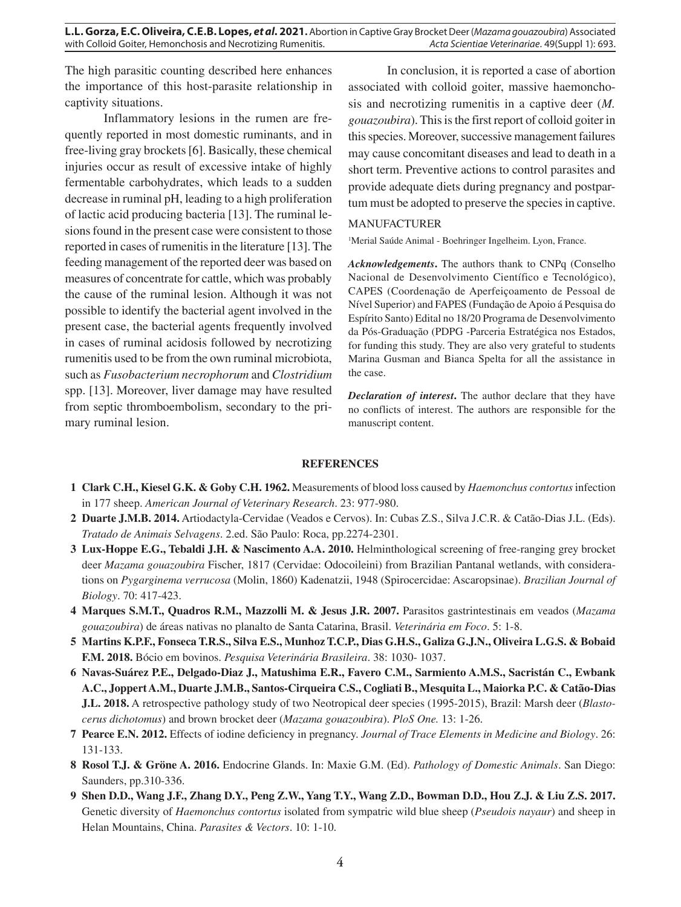The high parasitic counting described here enhances the importance of this host-parasite relationship in captivity situations.

Inflammatory lesions in the rumen are frequently reported in most domestic ruminants, and in free-living gray brockets [6]. Basically, these chemical injuries occur as result of excessive intake of highly fermentable carbohydrates, which leads to a sudden decrease in ruminal pH, leading to a high proliferation of lactic acid producing bacteria [13]. The ruminal lesions found in the present case were consistent to those reported in cases of rumenitis in the literature [13]. The feeding management of the reported deer was based on measures of concentrate for cattle, which was probably the cause of the ruminal lesion. Although it was not possible to identify the bacterial agent involved in the present case, the bacterial agents frequently involved in cases of ruminal acidosis followed by necrotizing rumenitis used to be from the own ruminal microbiota, such as *Fusobacterium necrophorum* and *Clostridium* spp. [13]. Moreover, liver damage may have resulted from septic thromboembolism, secondary to the primary ruminal lesion.

In conclusion, it is reported a case of abortion associated with colloid goiter, massive haemonchosis and necrotizing rumenitis in a captive deer (*M. gouazoubira*). This is the first report of colloid goiter in this species. Moreover, successive management failures may cause concomitant diseases and lead to death in a short term. Preventive actions to control parasites and provide adequate diets during pregnancy and postpartum must be adopted to preserve the species in captive.

## MANUFACTURER

<sup>1</sup>Merial Saúde Animal - Boehringer Ingelheim. Lyon, France.

*Acknowledgements***.** The authors thank to CNPq (Conselho Nacional de Desenvolvimento Científico e Tecnológico), CAPES (Coordenação de Aperfeiçoamento de Pessoal de Nível Superior) and FAPES (Fundação de Apoio á Pesquisa do Espírito Santo) Edital no 18/20 Programa de Desenvolvimento da Pós-Graduação (PDPG -Parceria Estratégica nos Estados, for funding this study. They are also very grateful to students Marina Gusman and Bianca Spelta for all the assistance in the case.

*Declaration of interest***.** The author declare that they have no conflicts of interest. The authors are responsible for the manuscript content.

## **REFERENCES**

- **1 Clark C.H., Kiesel G.K. & Goby C.H. 1962.** Measurements of blood loss caused by *Haemonchus contortus* infection in 177 sheep. *American Journal of Veterinary Research*. 23: 977-980.
- **2 Duarte J.M.B. 2014.** Artiodactyla-Cervidae (Veados e Cervos). In: Cubas Z.S., Silva J.C.R. & Catão-Dias J.L. (Eds). *Tratado de Animais Selvagens*. 2.ed. São Paulo: Roca, pp.2274-2301.
- **3 Lux-Hoppe E.G., Tebaldi J.H. & Nascimento A.A. 2010.** Helminthological screening of free-ranging grey brocket deer *Mazama gouazoubira* Fischer, 1817 (Cervidae: Odocoileini) from Brazilian Pantanal wetlands, with considerations on *Pygarginema verrucosa* (Molin, 1860) Kadenatzii, 1948 (Spirocercidae: Ascaropsinae). *Brazilian Journal of Biology*. 70: 417-423.
- **4 Marques S.M.T., Quadros R.M., Mazzolli M. & Jesus J.R. 2007.** Parasitos gastrintestinais em veados (*Mazama gouazoubira*) de áreas nativas no planalto de Santa Catarina, Brasil. *Veterinária em Foco*. 5: 1-8.
- **5 Martins K.P.F., Fonseca T.R.S., Silva E.S., Munhoz T.C.P., Dias G.H.S., Galiza G.J.N., Oliveira L.G.S. & Bobaid F.M. 2018.** Bócio em bovinos. *Pesquisa Veterinária Brasileira*. 38: 1030- 1037.
- **6 Navas-Suárez P.E., Delgado-Diaz J., Matushima E.R., Favero C.M., Sarmiento A.M.S., Sacristán C., Ewbank A.C., Joppert A.M., Duarte J.M.B., Santos-Cirqueira C.S., Cogliati B., Mesquita L., Maiorka P.C. & Catão-Dias J.L. 2018.** A retrospective pathology study of two Neotropical deer species (1995-2015), Brazil: Marsh deer (*Blastocerus dichotomus*) and brown brocket deer (*Mazama gouazoubira*). *PloS One.* 13: 1-26.
- **7 Pearce E.N. 2012.** Effects of iodine deficiency in pregnancy. *Journal of Trace Elements in Medicine and Biology*. 26: 131-133.
- **8 Rosol T.J. & Gröne A. 2016.** Endocrine Glands. In: Maxie G.M. (Ed). *Pathology of Domestic Animals*. San Diego: Saunders, pp.310-336.
- **9 Shen D.D., Wang J.F., Zhang D.Y., Peng Z.W., Yang T.Y., Wang Z.D., Bowman D.D., Hou Z.J. & Liu Z.S. 2017.** Genetic diversity of *Haemonchus contortus* isolated from sympatric wild blue sheep (*Pseudois nayaur*) and sheep in Helan Mountains, China. *Parasites & Vectors*. 10: 1-10.